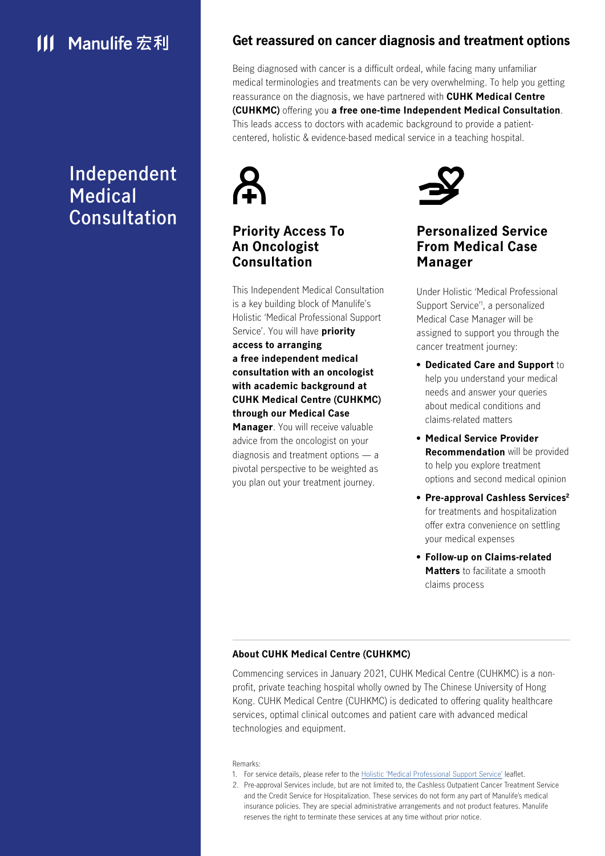# Manulife 宏利

# **Independent Medical Consultation**

## **Get reassured on cancer diagnosis and treatment options**

Being diagnosed with cancer is a difficult ordeal, while facing many unfamiliar medical terminologies and treatments can be very overwhelming. To help you getting reassurance on the diagnosis, we have partnered with **CUHK Medical Centre (CUHKMC)** offering you **a free one-time Independent Medical Consultation**. This leads access to doctors with academic background to provide a patientcentered, holistic & evidence-based medical service in a teaching hospital.



# **Priority Access To An Oncologist Consultation**

This Independent Medical Consultation is a key building block of Manulife's Holistic 'Medical Professional Support Service'. You will have **priority access to arranging a free independent medical consultation with an oncologist with academic background at CUHK Medical Centre (CUHKMC) through our Medical Case Manager**. You will receive valuable

advice from the oncologist on your diagnosis and treatment options — a pivotal perspective to be weighted as you plan out your treatment journey.



# **Personalized Service From Medical Case Manager**

Under Holistic 'Medical Professional Support Service'', a personalized Medical Case Manager will be assigned to support you through the cancer treatment journey:

- **Dedicated Care and Support** to help you understand your medical needs and answer your queries about medical conditions and claims-related matters
- **Medical Service Provider Recommendation** will be provided to help you explore treatment options and second medical opinion
- **Pre-approval Cashless Services2** for treatments and hospitalization offer extra convenience on settling your medical expenses
- **Follow-up on Claims-related Matters** to facilitate a smooth claims process

### **About CUHK Medical Centre (CUHKMC)**

Commencing services in January 2021, CUHK Medical Centre (CUHKMC) is a nonprofit, private teaching hospital wholly owned by The Chinese University of Hong Kong. CUHK Medical Centre (CUHKMC) is dedicated to offering quality healthcare services, optimal clinical outcomes and patient care with advanced medical technologies and equipment.

### Remarks:

- 1. For service details, please refer to the **Holistic 'Medical Professional Support Service'** leaflet.
- 2. Pre-approval Services include, but are not limited to, the Cashless Outpatient Cancer Treatment Service and the Credit Service for Hospitalization. These services do not form any part of Manulife's medical insurance policies. They are special administrative arrangements and not product features. Manulife reserves the right to terminate these services at any time without prior notice.